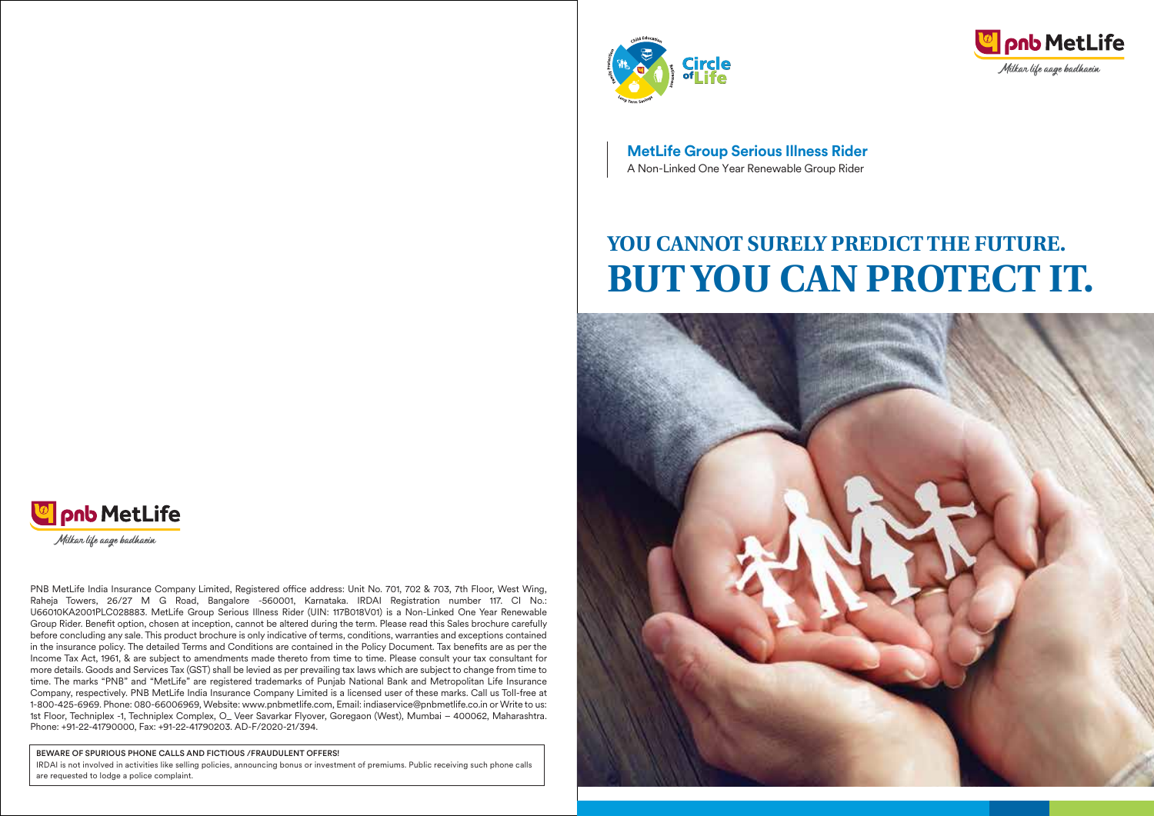



**MetLife Group Serious Illness Rider** A Non-Linked One Year Renewable Group Rider

# **YOU CANNOT SURELY PREDICT THE FUTURE. BUT YOU CAN PROTECT IT.**



![](_page_0_Picture_5.jpeg)

PNB MetLife India Insurance Company Limited, Registered office address: Unit No. 701, 702 & 703, 7th Floor, West Wing, Raheja Towers, 26/27 M G Road, Bangalore -560001, Karnataka. IRDAI Registration number 117. CI No.: U66010KA2001PLC028883. MetLife Group Serious Illness Rider (UIN: 117B018V01) is a Non-Linked One Year Renewable Group Rider. Benefit option, chosen at inception, cannot be altered during the term. Please read this Sales brochure carefully before concluding any sale. This product brochure is only indicative of terms, conditions, warranties and exceptions contained in the insurance policy. The detailed Terms and Conditions are contained in the Policy Document. Tax benefits are as per the Income Tax Act, 1961, & are subject to amendments made thereto from time to time. Please consult your tax consultant for more details. Goods and Services Tax (GST) shall be levied as per prevailing tax laws which are subject to change from time to time. The marks "PNB" and "MetLife" are registered trademarks of Punjab National Bank and Metropolitan Life Insurance Company, respectively. PNB MetLife India Insurance Company Limited is a licensed user of these marks. Call us Toll-free at 1-800-425-6969. Phone: 080-66006969, Website: www.pnbmetlife.com, Email: indiaservice@pnbmetlife.co.in or Write to us: 1st Floor, Techniplex -1, Techniplex Complex, O\_ Veer Savarkar Flyover, Goregaon (West), Mumbai – 400062, Maharashtra. Phone: +91-22-41790000, Fax: +91-22-41790203. AD-F/2020-21/394.

BEWARE OF SPURIOUS PHONE CALLS AND FICTIOUS /FRAUDULENT OFFERS!

IRDAI is not involved in activities like selling policies, announcing bonus or investment of premiums. Public receiving such phone calls are requested to lodge a police complaint.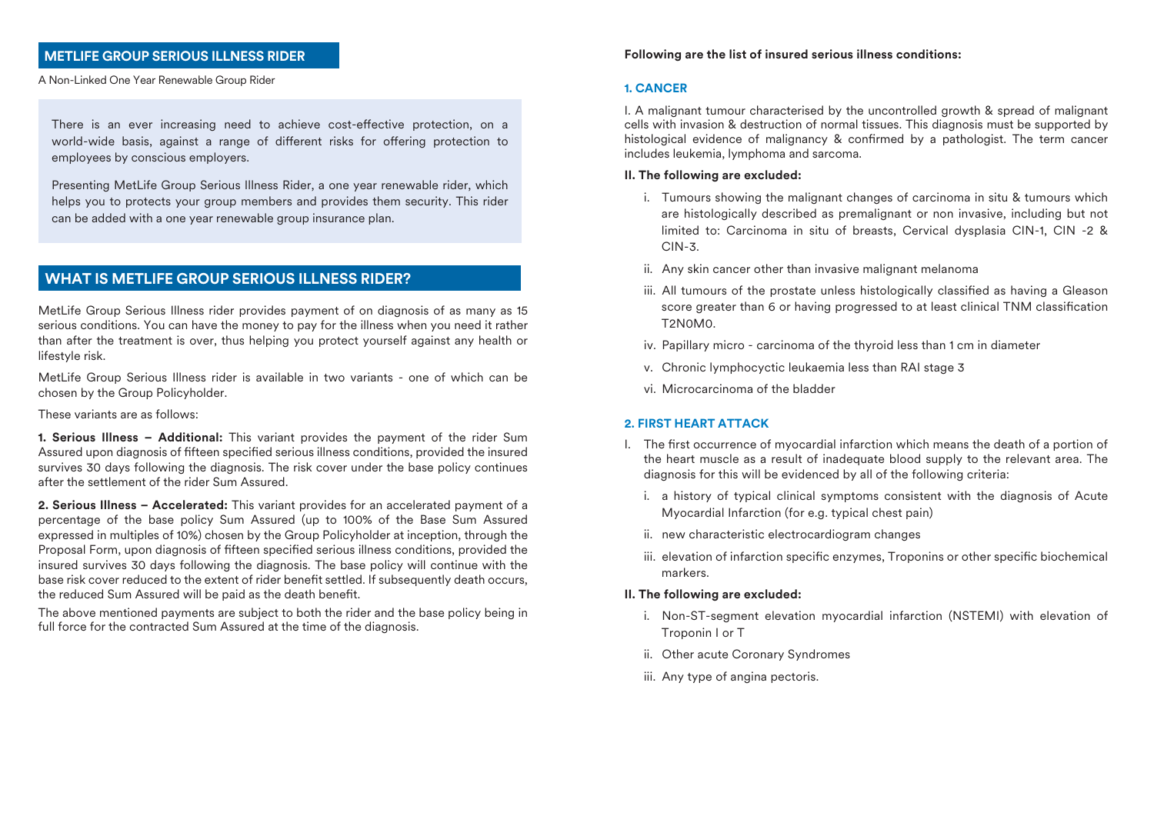# **METLIFE GROUP SERIOUS ILLNESS RIDER**

A Non-Linked One Year Renewable Group Rider

There is an ever increasing need to achieve cost-effective protection, on a world-wide basis, against a range of different risks for offering protection to employees by conscious employers.

Presenting MetLife Group Serious Illness Rider, a one year renewable rider, which helps you to protects your group members and provides them security. This rider can be added with a one year renewable group insurance plan.

# **WHAT IS METLIFE GROUP SERIOUS ILLNESS RIDER?**

MetLife Group Serious Illness rider provides payment of on diagnosis of as many as 15 serious conditions. You can have the money to pay for the illness when you need it rather than after the treatment is over, thus helping you protect yourself against any health or lifestyle risk.

MetLife Group Serious Illness rider is available in two variants - one of which can be chosen by the Group Policyholder.

These variants are as follows:

**1. Serious Illness – Additional:** This variant provides the payment of the rider Sum Assured upon diagnosis of fifteen specified serious illness conditions, provided the insured survives 30 days following the diagnosis. The risk cover under the base policy continues after the settlement of the rider Sum Assured.

**2. Serious Illness – Accelerated:** This variant provides for an accelerated payment of a percentage of the base policy Sum Assured (up to 100% of the Base Sum Assured expressed in multiples of 10%) chosen by the Group Policyholder at inception, through the Proposal Form, upon diagnosis of fifteen specified serious illness conditions, provided the insured survives 30 days following the diagnosis. The base policy will continue with the base risk cover reduced to the extent of rider benefit settled. If subsequently death occurs, the reduced Sum Assured will be paid as the death benefit.

The above mentioned payments are subject to both the rider and the base policy being in full force for the contracted Sum Assured at the time of the diagnosis.

#### **Following are the list of insured serious illness conditions:**

#### **1. CANCER**

I. A malignant tumour characterised by the uncontrolled growth & spread of malignant cells with invasion & destruction of normal tissues. This diagnosis must be supported by histological evidence of malignancy & confirmed by a pathologist. The term cancer includes leukemia, lymphoma and sarcoma.

#### **II. The following are excluded:**

- i. Tumours showing the malignant changes of carcinoma in situ & tumours which are histologically described as premalignant or non invasive, including but not limited to: Carcinoma in situ of breasts, Cervical dysplasia CIN-1, CIN-2 & CIN-3.
- ii. Any skin cancer other than invasive malignant melanoma
- iii. All tumours of the prostate unless histologically classified as having a Gleason score greater than 6 or having progressed to at least clinical TNM classification T2N0M0.
- iv. Papillary micro carcinoma of the thyroid less than 1 cm in diameter
- v. Chronic lymphocyctic leukaemia less than RAI stage 3
- vi. Microcarcinoma of the bladder

#### **2. FIRST HEART ATTACK**

- I. The first occurrence of myocardial infarction which means the death of a portion of the heart muscle as a result of inadequate blood supply to the relevant area. The diagnosis for this will be evidenced by all of the following criteria:
	- i. a history of typical clinical symptoms consistent with the diagnosis of Acute Myocardial Infarction (for e.g. typical chest pain)
	- ii. new characteristic electrocardiogram changes
	- iii. elevation of infarction specific enzymes, Troponins or other specific biochemical markers.

#### **II. The following are excluded:**

- i. Non-ST-segment elevation myocardial infarction (NSTEMI) with elevation of Troponin I or T
- ii. Other acute Coronary Syndromes
- iii. Any type of angina pectoris.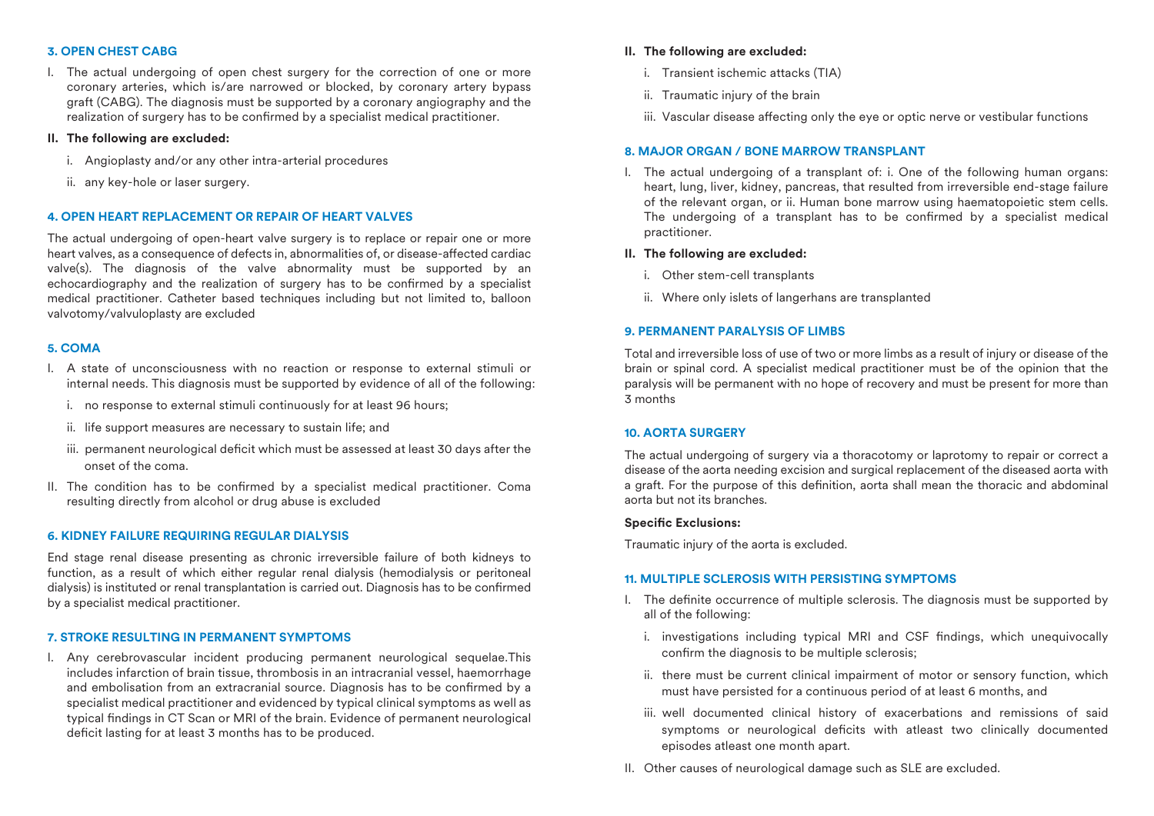# **3. OPEN CHEST CABG**

I. The actual undergoing of open chest surgery for the correction of one or more coronary arteries, which is/are narrowed or blocked, by coronary artery bypass graft (CABG). The diagnosis must be supported by a coronary angiography and the realization of surgery has to be confirmed by a specialist medical practitioner.

# **II. The following are excluded:**

- i. Angioplasty and/or any other intra-arterial procedures
- ii. any key-hole or laser surgery.

# **4. OPEN HEART REPLACEMENT OR REPAIR OF HEART VALVES**

The actual undergoing of open-heart valve surgery is to replace or repair one or more heart valves, as a consequence of defects in, abnormalities of, or disease-affected cardiac valve(s). The diagnosis of the valve abnormality must be supported by an echocardiography and the realization of surgery has to be confirmed by a specialist medical practitioner. Catheter based techniques including but not limited to, balloon valvotomy/valvuloplasty are excluded

# **5. COMA**

- I. A state of unconsciousness with no reaction or response to external stimuli or internal needs. This diagnosis must be supported by evidence of all of the following:
	- i. no response to external stimuli continuously for at least 96 hours;
	- ii. life support measures are necessary to sustain life; and
	- iii. permanent neurological deficit which must be assessed at least 30 days after the onset of the coma.
- II. The condition has to be confirmed by a specialist medical practitioner. Coma resulting directly from alcohol or drug abuse is excluded

# **6. KIDNEY FAILURE REQUIRING REGULAR DIALYSIS**

End stage renal disease presenting as chronic irreversible failure of both kidneys to function, as a result of which either regular renal dialysis (hemodialysis or peritoneal dialysis) is instituted or renal transplantation is carried out. Diagnosis has to be confirmed by a specialist medical practitioner.

# **7. STROKE RESULTING IN PERMANENT SYMPTOMS**

I. Any cerebrovascular incident producing permanent neurological sequelae.This includes infarction of brain tissue, thrombosis in an intracranial vessel, haemorrhage and embolisation from an extracranial source. Diagnosis has to be confirmed by a specialist medical practitioner and evidenced by typical clinical symptoms as well as typical findings in CT Scan or MRI of the brain. Evidence of permanent neurological deficit lasting for at least 3 months has to be produced.

# **II. The following are excluded:**

- i. Transient ischemic attacks (TIA)
- ii. Traumatic injury of the brain
- iii. Vascular disease affecting only the eye or optic nerve or vestibular functions

# **8. MAJOR ORGAN / BONE MARROW TRANSPLANT**

I. The actual undergoing of a transplant of: i. One of the following human organs: heart, lung, liver, kidney, pancreas, that resulted from irreversible end-stage failure of the relevant organ, or ii. Human bone marrow using haematopoietic stem cells. The undergoing of a transplant has to be confirmed by a specialist medical practitioner.

# **II. The following are excluded:**

- i. Other stem-cell transplants
- ii. Where only islets of langerhans are transplanted

# **9. PERMANENT PARALYSIS OF LIMBS**

Total and irreversible loss of use of two or more limbs as a result of injury or disease of the brain or spinal cord. A specialist medical practitioner must be of the opinion that the paralysis will be permanent with no hope of recovery and must be present for more than 3 months

# **10. AORTA SURGERY**

The actual undergoing of surgery via a thoracotomy or laprotomy to repair or correct a disease of the aorta needing excision and surgical replacement of the diseased aorta with a graft. For the purpose of this definition, aorta shall mean the thoracic and abdominal aorta but not its branches.

#### **Specific Exclusions:**

Traumatic injury of the aorta is excluded.

# **11. MULTIPLE SCLEROSIS WITH PERSISTING SYMPTOMS**

- I. The definite occurrence of multiple sclerosis. The diagnosis must be supported by all of the following:
	- i. investigations including typical MRI and CSF findings, which unequivocally confirm the diagnosis to be multiple sclerosis;
	- ii. there must be current clinical impairment of motor or sensory function, which must have persisted for a continuous period of at least 6 months, and
	- iii. well documented clinical history of exacerbations and remissions of said symptoms or neurological deficits with atleast two clinically documented episodes atleast one month apart.
- II. Other causes of neurological damage such as SLE are excluded.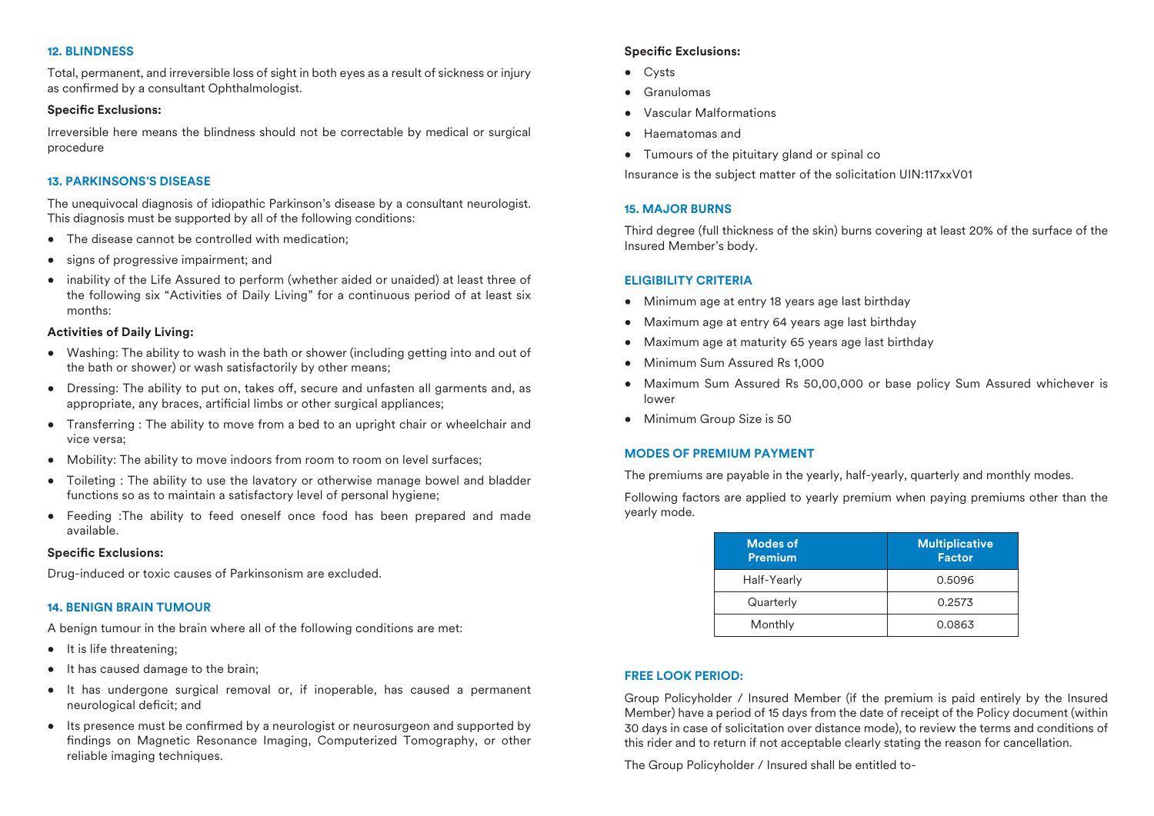# **12. BLINDNESS**

Total, permanent, and irreversible loss of sight in both eyes as a result of sickness or injury as confirmed by a consultant Ophthalmologist.

#### **Specific Exclusions:**

Irreversible here means the blindness should not be correctable by medical or surgical procedure

# **13. PARKINSONS'S DISEASE**

The unequivocal diagnosis of idiopathic Parkinson's disease by a consultant neurologist. This diagnosis must be supported by all of the following conditions:

- The disease cannot be controlled with medication;
- signs of progressive impairment; and
- inability of the Life Assured to perform (whether aided or unaided) at least three of the following six "Activities of Daily Living" for a continuous period of at least six months:

#### **Activities of Daily Living:**

- Washing: The ability to wash in the bath or shower (including getting into and out of the bath or shower) or wash satisfactorily by other means;
- Dressing: The ability to put on, takes off, secure and unfasten all garments and, as appropriate, any braces, artificial limbs or other surgical appliances;
- Transferring : The ability to move from a bed to an upright chair or wheelchair and vice versa;
- Mobility: The ability to move indoors from room to room on level surfaces;
- Toileting : The ability to use the lavatory or otherwise manage bowel and bladder functions so as to maintain a satisfactory level of personal hygiene;
- Feeding :The ability to feed oneself once food has been prepared and made available.

#### **Specific Exclusions:**

Drug-induced or toxic causes of Parkinsonism are excluded.

#### **14. BENIGN BRAIN TUMOUR**

A benign tumour in the brain where all of the following conditions are met:

- It is life threatening;
- It has caused damage to the brain;
- It has undergone surgical removal or, if inoperable, has caused a permanent neurological deficit; and
- Its presence must be confirmed by a neurologist or neurosurgeon and supported by ndings on Magnetic Resonance Imaging, Computerized Tomography, or other reliable imaging techniques.

## **Specific Exclusions:**

- Cysts
- Granulomas
- Vascular Malformations
- Haematomas and
- Tumours of the pituitary gland or spinal co

Insurance is the subject matter of the solicitation UIN:117xxV01

# **15. MAJOR BURNS**

Third degree (full thickness of the skin) burns covering at least 20% of the surface of the Insured Member's body.

#### **ELIGIBILITY CRITERIA**

- Minimum age at entry 18 years age last birthday
- Maximum age at entry 64 years age last birthday
- Maximum age at maturity 65 years age last birthday
- Minimum Sum Assured Rs 1,000
- Maximum Sum Assured Rs 50,00,000 or base policy Sum Assured whichever is lower
- Minimum Group Size is 50

# **MODES OF PREMIUM PAYMENT**

The premiums are payable in the yearly, half-yearly, quarterly and monthly modes.

Following factors are applied to yearly premium when paying premiums other than the yearly mode.

| <b>Modes of</b><br><b>Premium</b> | <b>Multiplicative</b><br><b>Factor</b> |
|-----------------------------------|----------------------------------------|
| Half-Yearly                       | 0.5096                                 |
| Quarterly                         | 0.2573                                 |
| Monthly                           | 0.0863                                 |

# **FREE LOOK PERIOD:**

Group Policyholder / Insured Member (if the premium is paid entirely by the Insured Member) have a period of 15 days from the date of receipt of the Policy document (within 30 days in case of solicitation over distance mode), to review the terms and conditions of this rider and to return if not acceptable clearly stating the reason for cancellation.

The Group Policyholder / Insured shall be entitled to-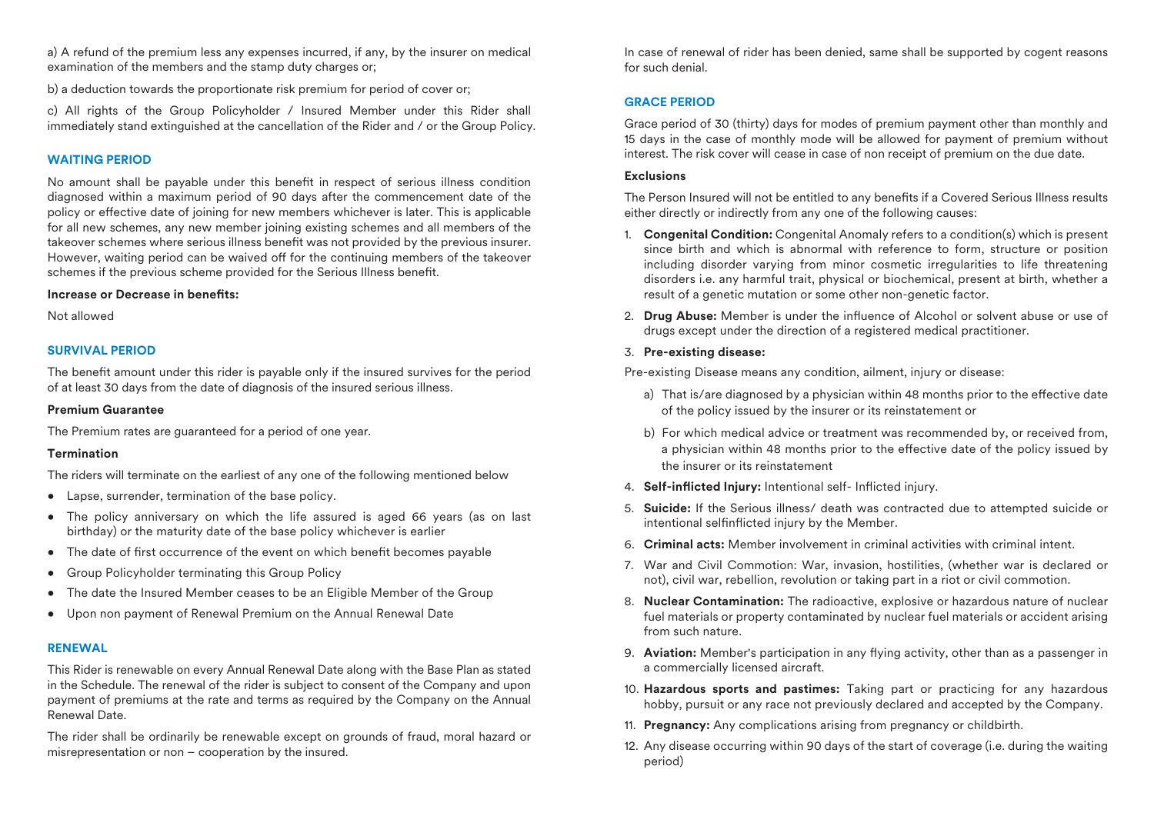a) A refund of the premium less any expenses incurred, if any, by the insurer on medical examination of the members and the stamp duty charges or;

b) a deduction towards the proportionate risk premium for period of cover or;

c) All rights of the Group Policyholder / Insured Member under this Rider shall immediately stand extinguished at the cancellation of the Rider and / or the Group Policy.

# **WAITING PERIOD**

No amount shall be payable under this benefit in respect of serious illness condition diagnosed within a maximum period of 90 days after the commencement date of the policy or effective date of joining for new members whichever is later. This is applicable for all new schemes, any new member joining existing schemes and all members of the takeover schemes where serious illness benefit was not provided by the previous insurer. However, waiting period can be waived off for the continuing members of the takeover schemes if the previous scheme provided for the Serious Illness benefit.

#### **Increase or Decrease in benets:**

Not allowed

# **SURVIVAL PERIOD**

The benefit amount under this rider is payable only if the insured survives for the period of at least 30 days from the date of diagnosis of the insured serious illness.

# **Premium Guarantee**

The Premium rates are guaranteed for a period of one year.

# **Termination**

The riders will terminate on the earliest of any one of the following mentioned below

- Lapse, surrender, termination of the base policy.
- The policy anniversary on which the life assured is aged 66 years (as on last birthday) or the maturity date of the base policy whichever is earlier
- $\bullet$  The date of first occurrence of the event on which benefit becomes payable
- Group Policyholder terminating this Group Policy
- The date the Insured Member ceases to be an Eligible Member of the Group
- Upon non payment of Renewal Premium on the Annual Renewal Date

# **RENEWAL**

This Rider is renewable on every Annual Renewal Date along with the Base Plan as stated in the Schedule. The renewal of the rider is subject to consent of the Company and upon payment of premiums at the rate and terms as required by the Company on the Annual Renewal Date.

The rider shall be ordinarily be renewable except on grounds of fraud, moral hazard or misrepresentation or non – cooperation by the insured.

In case of renewal of rider has been denied, same shall be supported by cogent reasons for such denial.

# **GRACE PERIOD**

Grace period of 30 (thirty) days for modes of premium payment other than monthly and 15 days in the case of monthly mode will be allowed for payment of premium without interest. The risk cover will cease in case of non receipt of premium on the due date.

#### **Exclusions**

The Person Insured will not be entitled to any benefits if a Covered Serious Illness results either directly or indirectly from any one of the following causes:

- 1. **Congenital Condition:** Congenital Anomaly refers to a condition(s) which is present since birth and which is abnormal with reference to form, structure or position including disorder varying from minor cosmetic irregularities to life threatening disorders i.e. any harmful trait, physical or biochemical, present at birth, whether a result of a genetic mutation or some other non-genetic factor.
- 2. **Drug Abuse:** Member is under the influence of Alcohol or solvent abuse or use of drugs except under the direction of a registered medical practitioner.

# 3. **Pre-existing disease:**

Pre-existing Disease means any condition, ailment, injury or disease:

- a) That is/are diagnosed by a physician within 48 months prior to the effective date of the policy issued by the insurer or its reinstatement or
- b) For which medical advice or treatment was recommended by, or received from, a physician within 48 months prior to the effective date of the policy issued by the insurer or its reinstatement
- 4. **Self-inflicted Injury:** Intentional self- Inflicted injury.
- 5. **Suicide:** If the Serious illness/ death was contracted due to attempted suicide or intentional selfinflicted injury by the Member.
- 6. **Criminal acts:** Member involvement in criminal activities with criminal intent.
- 7. War and Civil Commotion: War, invasion, hostilities, (whether war is declared or not), civil war, rebellion, revolution or taking part in a riot or civil commotion.
- 8. **Nuclear Contamination:** The radioactive, explosive or hazardous nature of nuclear fuel materials or property contaminated by nuclear fuel materials or accident arising from such nature.
- 9. **Aviation:** Member's participation in any flying activity, other than as a passenger in a commercially licensed aircraft.
- 10. **Hazardous sports and pastimes:** Taking part or practicing for any hazardous hobby, pursuit or any race not previously declared and accepted by the Company.
- 11. **Pregnancy:** Any complications arising from pregnancy or childbirth.
- 12. Any disease occurring within 90 days of the start of coverage (i.e. during the waiting period)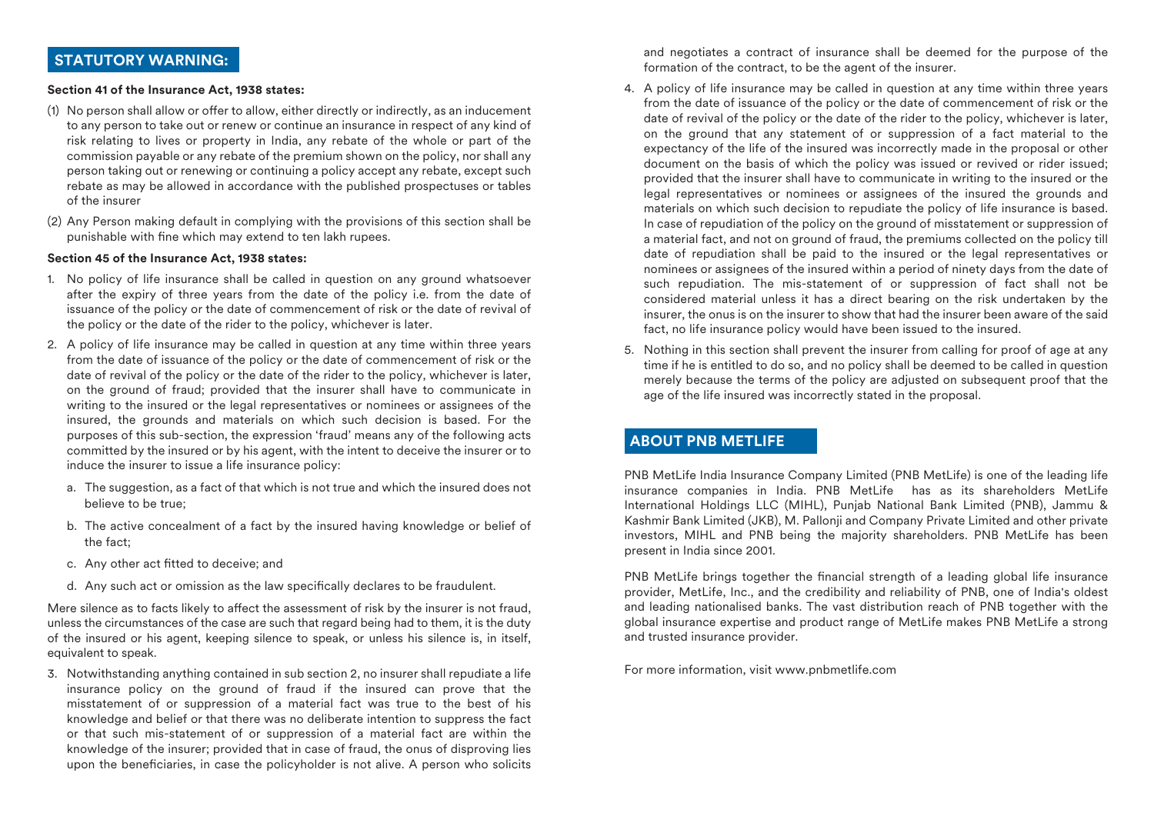# **STATUTORY WARNING:**

#### **Section 41 of the Insurance Act, 1938 states:**

- (1) No person shall allow or offer to allow, either directly or indirectly, as an inducement to any person to take out or renew or continue an insurance in respect of any kind of risk relating to lives or property in India, any rebate of the whole or part of the commission payable or any rebate of the premium shown on the policy, nor shall any person taking out or renewing or continuing a policy accept any rebate, except such rebate as may be allowed in accordance with the published prospectuses or tables of the insurer
- (2) Any Person making default in complying with the provisions of this section shall be punishable with fine which may extend to ten lakh rupees.

#### **Section 45 of the Insurance Act, 1938 states:**

- 1. No policy of life insurance shall be called in question on any ground whatsoever after the expiry of three years from the date of the policy i.e. from the date of issuance of the policy or the date of commencement of risk or the date of revival of the policy or the date of the rider to the policy, whichever is later.
- 2. A policy of life insurance may be called in question at any time within three years from the date of issuance of the policy or the date of commencement of risk or the date of revival of the policy or the date of the rider to the policy, whichever is later, on the ground of fraud; provided that the insurer shall have to communicate in writing to the insured or the legal representatives or nominees or assignees of the insured, the grounds and materials on which such decision is based. For the purposes of this sub-section, the expression 'fraud' means any of the following acts committed by the insured or by his agent, with the intent to deceive the insurer or to induce the insurer to issue a life insurance policy:
	- a. The suggestion, as a fact of that which is not true and which the insured does not believe to be true;
	- b. The active concealment of a fact by the insured having knowledge or belief of the fact;
	- c. Any other act fitted to deceive; and
	- d. Any such act or omission as the law specifically declares to be fraudulent.

Mere silence as to facts likely to affect the assessment of risk by the insurer is not fraud, unless the circumstances of the case are such that regard being had to them, it is the duty of the insured or his agent, keeping silence to speak, or unless his silence is, in itself, equivalent to speak.

3. Notwithstanding anything contained in sub section 2, no insurer shall repudiate a life insurance policy on the ground of fraud if the insured can prove that the misstatement of or suppression of a material fact was true to the best of his knowledge and belief or that there was no deliberate intention to suppress the fact or that such mis-statement of or suppression of a material fact are within the knowledge of the insurer; provided that in case of fraud, the onus of disproving lies upon the beneficiaries, in case the policyholder is not alive. A person who solicits and negotiates a contract of insurance shall be deemed for the purpose of the formation of the contract, to be the agent of the insurer.

- 4. A policy of life insurance may be called in question at any time within three years from the date of issuance of the policy or the date of commencement of risk or the date of revival of the policy or the date of the rider to the policy, whichever is later, on the ground that any statement of or suppression of a fact material to the expectancy of the life of the insured was incorrectly made in the proposal or other document on the basis of which the policy was issued or revived or rider issued; provided that the insurer shall have to communicate in writing to the insured or the legal representatives or nominees or assignees of the insured the grounds and materials on which such decision to repudiate the policy of life insurance is based. In case of repudiation of the policy on the ground of misstatement or suppression of a material fact, and not on ground of fraud, the premiums collected on the policy till date of repudiation shall be paid to the insured or the legal representatives or nominees or assignees of the insured within a period of ninety days from the date of such repudiation. The mis-statement of or suppression of fact shall not be considered material unless it has a direct bearing on the risk undertaken by the insurer, the onus is on the insurer to show that had the insurer been aware of the said fact, no life insurance policy would have been issued to the insured.
- 5. Nothing in this section shall prevent the insurer from calling for proof of age at any time if he is entitled to do so, and no policy shall be deemed to be called in question merely because the terms of the policy are adjusted on subsequent proof that the age of the life insured was incorrectly stated in the proposal.

# **ABOUT PNB METLIFE**

PNB MetLife India Insurance Company Limited (PNB MetLife) is one of the leading life insurance companies in India. PNB MetLife has as its shareholders MetLife International Holdings LLC (MIHL), Punjab National Bank Limited (PNB), Jammu & Kashmir Bank Limited (JKB), M. Pallonji and Company Private Limited and other private investors, MIHL and PNB being the majority shareholders. PNB MetLife has been present in India since 2001.

PNB MetLife brings together the financial strength of a leading global life insurance provider, MetLife, Inc., and the credibility and reliability of PNB, one of India's oldest and leading nationalised banks. The vast distribution reach of PNB together with the global insurance expertise and product range of MetLife makes PNB MetLife a strong and trusted insurance provider.

For more information, visit www.pnbmetlife.com